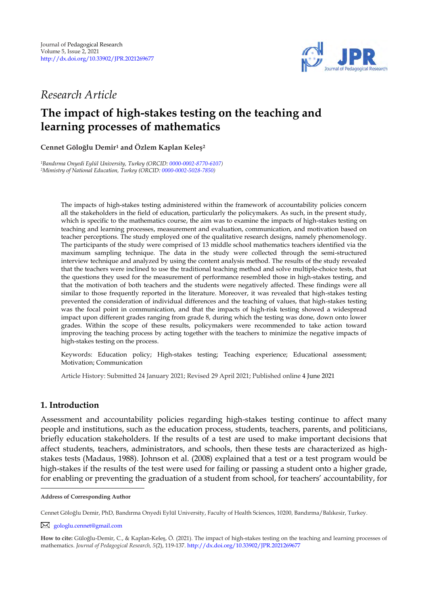

# *Research Article*

# **The impact of high-stakes testing on the teaching and learning processes of mathematics**

**Cennet Göloğlu Demir<sup>1</sup> and Özlem Kaplan Keleş<sup>2</sup> <sup>1</sup>**

*<sup>1</sup>Bandırma Onyedi Eylül University, Turkey (ORCID[: 0000-0002-8770-6107\)](https://orcid.org/0000-0002-8770-6107) <sup>2</sup>Mimistry of National Education, Turkey (ORCID[: 0000-0002-5028-7850\)](https://orcid.org/0000-0002-5028-7850)* 

> The impacts of high-stakes testing administered within the framework of accountability policies concern all the stakeholders in the field of education, particularly the policymakers. As such, in the present study, which is specific to the mathematics course, the aim was to examine the impacts of high-stakes testing on teaching and learning processes, measurement and evaluation, communication, and motivation based on teacher perceptions. The study employed one of the qualitative research designs, namely phenomenology. The participants of the study were comprised of 13 middle school mathematics teachers identified via the maximum sampling technique. The data in the study were collected through the semi-structured interview technique and analyzed by using the content analysis method. The results of the study revealed that the teachers were inclined to use the traditional teaching method and solve multiple-choice tests, that the questions they used for the measurement of performance resembled those in high-stakes testing, and that the motivation of both teachers and the students were negatively affected. These findings were all similar to those frequently reported in the literature. Moreover, it was revealed that high-stakes testing prevented the consideration of individual differences and the teaching of values, that high-stakes testing was the focal point in communication, and that the impacts of high-risk testing showed a widespread impact upon different grades ranging from grade 8, during which the testing was done, down onto lower grades. Within the scope of these results, policymakers were recommended to take action toward improving the teaching process by acting together with the teachers to minimize the negative impacts of high-stakes testing on the process.

> Keywords: Education policy; High-stakes testing; Teaching experience; Educational assessment; Motivation; Communication

Article History: Submitted 24 January 2021; Revised 29 April 2021; Published online 4 June 2021

# **1. Introduction**

Assessment and accountability policies regarding high-stakes testing continue to affect many people and institutions, such as the education process, students, teachers, parents, and politicians, briefly education stakeholders. If the results of a test are used to make important decisions that affect students, teachers, administrators, and schools, then these tests are characterized as highstakes tests (Madaus, 1988). Johnson et al. (2008) explained that a test or a test program would be high-stakes if the results of the test were used for failing or passing a student onto a higher grade, for enabling or preventing the graduation of a student from school, for teachers' accountability, for

[gologlu.cennet@gmail.com](mailto:gologlu.cennet@gmail.com)

**Address of Corresponding Author**

Cennet Göloğlu Demir, PhD, Bandırma Onyedi Eylül University, Faculty of Health Sciences, 10200, Bandırma/Balıkesir, Turkey.

**How to cite:** Güloğlu-Demir, C., & Kaplan-Keleş, Ö. (2021). The impact of high-stakes testing on the teaching and learning processes of mathematics. *Journal of Pedagogical Research, 5*(2), 119-137[. http://dx.doi.org/10.33902/JPR.2021269677](http://dx.doi.org/10.33902/JPR.2021269677)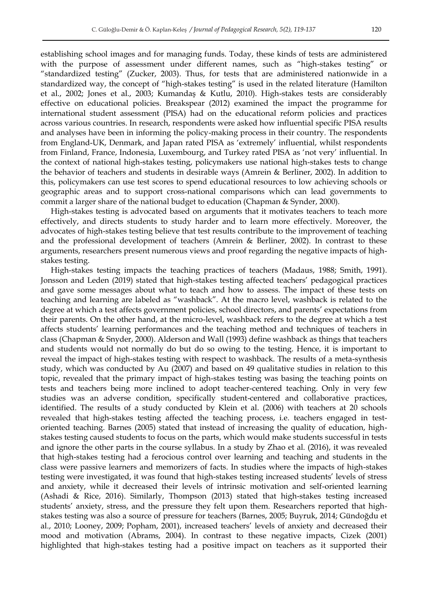establishing school images and for managing funds. Today, these kinds of tests are administered with the purpose of assessment under different names, such as "high-stakes testing" or "standardized testing" (Zucker, 2003). Thus, for tests that are administered nationwide in a standardized way, the concept of "high-stakes testing" is used in the related literature (Hamilton et al., 2002; Jones et al., 2003; Kumandaş & Kutlu, 2010). High-stakes tests are considerably effective on educational policies. Breakspear (2012) examined the impact the programme for international student assessment (PISA) had on the educational reform policies and practices across various countries. In research, respondents were asked how influential specific PISA results and analyses have been in informing the policy-making process in their country. The respondents from England-UK, Denmark, and Japan rated PISA as ‗extremely' influential, whilst respondents from Finland, France, Indonesia, Luxembourg, and Turkey rated PISA as 'not very' influential. In the context of national high-stakes testing, policymakers use national high-stakes tests to change the behavior of teachers and students in desirable ways (Amrein & Berliner, 2002). In addition to this, policymakers can use test scores to spend educational resources to low achieving schools or geographic areas and to support cross-national comparisons which can lead governments to commit a larger share of the national budget to education (Chapman & Synder, 2000).

High-stakes testing is advocated based on arguments that it motivates teachers to teach more effectively, and directs students to study harder and to learn more effectively. Moreover, the advocates of high-stakes testing believe that test results contribute to the improvement of teaching and the professional development of teachers (Amrein & Berliner, 2002). In contrast to these arguments, researchers present numerous views and proof regarding the negative impacts of highstakes testing.

High-stakes testing impacts the teaching practices of teachers (Madaus, 1988; Smith, 1991). Jonsson and Leden (2019) stated that high-stakes testing affected teachers' pedagogical practices and gave some messages about what to teach and how to assess. The impact of these tests on teaching and learning are labeled as "washback". At the macro level, washback is related to the degree at which a test affects government policies, school directors, and parents' expectations from their parents. On the other hand, at the micro-level, washback refers to the degree at which a test affects students' learning performances and the teaching method and techniques of teachers in class (Chapman & Snyder, 2000). Alderson and Wall (1993) define washback as things that teachers and students would not normally do but do so owing to the testing. Hence, it is important to reveal the impact of high-stakes testing with respect to washback. The results of a meta-synthesis study, which was conducted by Au (2007) and based on 49 qualitative studies in relation to this topic, revealed that the primary impact of high-stakes testing was basing the teaching points on tests and teachers being more inclined to adopt teacher-centered teaching. Only in very few studies was an adverse condition, specifically student-centered and collaborative practices, identified. The results of a study conducted by Klein et al. (2006) with teachers at 20 schools revealed that high-stakes testing affected the teaching process, i.e. teachers engaged in testoriented teaching. Barnes (2005) stated that instead of increasing the quality of education, highstakes testing caused students to focus on the parts, which would make students successful in tests and ignore the other parts in the course syllabus. In a study by Zhao et al. (2016), it was revealed that high-stakes testing had a ferocious control over learning and teaching and students in the class were passive learners and memorizers of facts. In studies where the impacts of high-stakes testing were investigated, it was found that high-stakes testing increased students' levels of stress and anxiety, while it decreased their levels of intrinsic motivation and self-oriented learning (Ashadi & Rice, 2016). Similarly, Thompson (2013) stated that high-stakes testing increased students' anxiety, stress, and the pressure they felt upon them. Researchers reported that highstakes testing was also a source of pressure for teachers (Barnes, 2005; Buyruk, 2014; Gündoğdu et al., 2010; Looney, 2009; Popham, 2001), increased teachers' levels of anxiety and decreased their mood and motivation (Abrams, 2004). In contrast to these negative impacts, Cizek (2001) highlighted that high-stakes testing had a positive impact on teachers as it supported their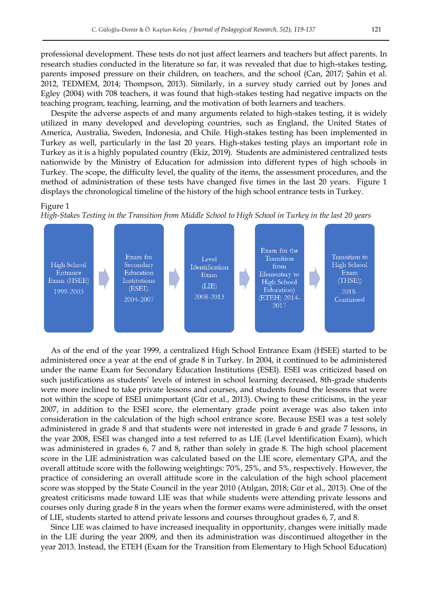professional development. These tests do not just affect learners and teachers but affect parents. In research studies conducted in the literature so far, it was revealed that due to high-stakes testing, parents imposed pressure on their children, on teachers, and the school (Can, 2017; Şahin et al. 2012, TEDMEM, 2014; Thompson, 2013). Similarly, in a survey study carried out by Jones and Egley (2004) with 708 teachers, it was found that high-stakes testing had negative impacts on the teaching program, teaching, learning, and the motivation of both learners and teachers.

Despite the adverse aspects of and many arguments related to high-stakes testing, it is widely utilized in many developed and developing countries, such as England, the United States of America, Australia, Sweden, Indonesia, and Chile. High-stakes testing has been implemented in Turkey as well, particularly in the last 20 years. High-stakes testing plays an important role in Turkey as it is a highly populated country (Ekiz, 2019). Students are administered centralized tests nationwide by the Ministry of Education for admission into different types of high schools in Turkey. The scope, the difficulty level, the quality of the items, the assessment procedures, and the method of administration of these tests have changed five times in the last 20 years. Figure 1 displays the chronological timeline of the history of the high school entrance tests in Turkey.

#### Figure 1

*High-Stakes Testing in the Transition from Middle School to High School in Turkey in the last 20 years* 



As of the end of the year 1999, a centralized High School Entrance Exam (HSEE) started to be administered once a year at the end of grade 8 in Turkey. In 2004, it continued to be administered under the name Exam for Secondary Education Institutions (ESEI). ESEI was criticized based on such justifications as students' levels of interest in school learning decreased, 8th-grade students were more inclined to take private lessons and courses, and students found the lessons that were not within the scope of ESEI unimportant (Gür et al., 2013). Owing to these criticisms, in the year 2007, in addition to the ESEI score, the elementary grade point average was also taken into consideration in the calculation of the high school entrance score. Because ESEI was a test solely administered in grade 8 and that students were not interested in grade 6 and grade 7 lessons, in the year 2008, ESEI was changed into a test referred to as LIE (Level Identification Exam), which was administered in grades 6, 7 and 8, rather than solely in grade 8. The high school placement score in the LIE administration was calculated based on the LIE score, elementary GPA, and the overall attitude score with the following weightings: 70%, 25%, and 5%, respectively. However, the practice of considering an overall attitude score in the calculation of the high school placement score was stopped by the State Council in the year 2010 (Atılgan, 2018; Gür et al., 2013). One of the greatest criticisms made toward LIE was that while students were attending private lessons and courses only during grade 8 in the years when the former exams were administered, with the onset of LIE, students started to attend private lessons and courses throughout grades 6, 7, and 8.

Since LIE was claimed to have increased inequality in opportunity, changes were initially made in the LIE during the year 2009, and then its administration was discontinued altogether in the year 2013. Instead, the ETEH (Exam for the Transition from Elementary to High School Education)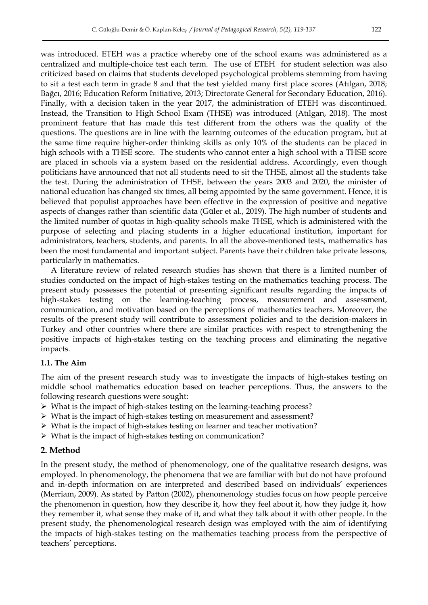was introduced. ETEH was a practice whereby one of the school exams was administered as a centralized and multiple-choice test each term. The use of ETEH for student selection was also criticized based on claims that students developed psychological problems stemming from having to sit a test each term in grade 8 and that the test yielded many first place scores (Atılgan, 2018; Bağcı, 2016; Education Reform Initiative, 2013; Directorate General for Secondary Education, 2016). Finally, with a decision taken in the year 2017, the administration of ETEH was discontinued. Instead, the Transition to High School Exam (THSE) was introduced (Atılgan, 2018). The most prominent feature that has made this test different from the others was the quality of the questions. The questions are in line with the learning outcomes of the education program, but at the same time require higher-order thinking skills as only 10% of the students can be placed in high schools with a THSE score. The students who cannot enter a high school with a THSE score are placed in schools via a system based on the residential address. Accordingly, even though politicians have announced that not all students need to sit the THSE, almost all the students take the test. During the administration of THSE, between the years 2003 and 2020, the minister of national education has changed six times, all being appointed by the same government. Hence, it is believed that populist approaches have been effective in the expression of positive and negative aspects of changes rather than scientific data (Güler et al., 2019). The high number of students and the limited number of quotas in high-quality schools make THSE, which is administered with the purpose of selecting and placing students in a higher educational institution, important for administrators, teachers, students, and parents. In all the above-mentioned tests, mathematics has been the most fundamental and important subject. Parents have their children take private lessons, particularly in mathematics.

A literature review of related research studies has shown that there is a limited number of studies conducted on the impact of high-stakes testing on the mathematics teaching process. The present study possesses the potential of presenting significant results regarding the impacts of high-stakes testing on the learning-teaching process, measurement and assessment, communication, and motivation based on the perceptions of mathematics teachers. Moreover, the results of the present study will contribute to assessment policies and to the decision-makers in Turkey and other countries where there are similar practices with respect to strengthening the positive impacts of high-stakes testing on the teaching process and eliminating the negative impacts.

#### **1.1. The Aim**

The aim of the present research study was to investigate the impacts of high-stakes testing on middle school mathematics education based on teacher perceptions. Thus, the answers to the following research questions were sought:

- $\triangleright$  What is the impact of high-stakes testing on the learning-teaching process?
- $\triangleright$  What is the impact of high-stakes testing on measurement and assessment?
- $\triangleright$  What is the impact of high-stakes testing on learner and teacher motivation?
- $\triangleright$  What is the impact of high-stakes testing on communication?

## **2. Method**

In the present study, the method of phenomenology, one of the qualitative research designs, was employed. In phenomenology, the phenomena that we are familiar with but do not have profound and in-depth information on are interpreted and described based on individuals' experiences (Merriam, 2009). As stated by Patton (2002), phenomenology studies focus on how people perceive the phenomenon in question, how they describe it, how they feel about it, how they judge it, how they remember it, what sense they make of it, and what they talk about it with other people. In the present study, the phenomenological research design was employed with the aim of identifying the impacts of high-stakes testing on the mathematics teaching process from the perspective of teachers' perceptions.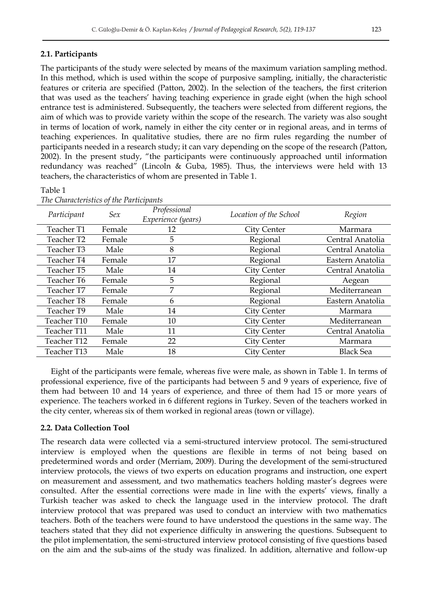## **2.1. Participants**

The participants of the study were selected by means of the maximum variation sampling method. In this method, which is used within the scope of purposive sampling, initially, the characteristic features or criteria are specified (Patton, 2002). In the selection of the teachers, the first criterion that was used as the teachers' having teaching experience in grade eight (when the high school entrance test is administered. Subsequently, the teachers were selected from different regions, the aim of which was to provide variety within the scope of the research. The variety was also sought in terms of location of work, namely in either the city center or in regional areas, and in terms of teaching experiences. In qualitative studies, there are no firm rules regarding the number of participants needed in a research study; it can vary depending on the scope of the research (Patton, 2002). In the present study, "the participants were continuously approached until information redundancy was reached" (Lincoln & Guba, 1985). Thus, the interviews were held with 13 teachers, the characteristics of whom are presented in Table 1.

## Table 1

| Participant | Sex    | Professional<br>Experience (years) | Location of the School | Region           |
|-------------|--------|------------------------------------|------------------------|------------------|
| Teacher T1  | Female | 12                                 | City Center            | Marmara          |
| Teacher T2  | Female | 5                                  | Regional               | Central Anatolia |
| Teacher T3  | Male   | 8                                  | Regional               | Central Anatolia |
| Teacher T4  | Female | 17                                 | Regional               | Eastern Anatolia |
| Teacher T5  | Male   | 14                                 | <b>City Center</b>     | Central Anatolia |
| Teacher T6  | Female | 5                                  | Regional               | Aegean           |
| Teacher T7  | Female | 7                                  | Regional               | Mediterranean    |
| Teacher T8  | Female | 6                                  | Regional               | Eastern Anatolia |
| Teacher T9  | Male   | 14                                 | City Center            | Marmara          |
| Teacher T10 | Female | 10                                 | City Center            | Mediterranean    |
| Teacher T11 | Male   | 11                                 | City Center            | Central Anatolia |
| Teacher T12 | Female | 22                                 | City Center            | Marmara          |
| Teacher T13 | Male   | 18                                 | City Center            | <b>Black Sea</b> |

*The Characteristics of the Participants* 

Eight of the participants were female, whereas five were male, as shown in Table 1. In terms of professional experience, five of the participants had between 5 and 9 years of experience, five of them had between 10 and 14 years of experience, and three of them had 15 or more years of experience. The teachers worked in 6 different regions in Turkey. Seven of the teachers worked in the city center, whereas six of them worked in regional areas (town or village).

## **2.2. Data Collection Tool**

The research data were collected via a semi-structured interview protocol. The semi-structured interview is employed when the questions are flexible in terms of not being based on predetermined words and order (Merriam, 2009). During the development of the semi-structured interview protocols, the views of two experts on education programs and instruction, one expert on measurement and assessment, and two mathematics teachers holding master's degrees were consulted. After the essential corrections were made in line with the experts' views, finally a Turkish teacher was asked to check the language used in the interview protocol. The draft interview protocol that was prepared was used to conduct an interview with two mathematics teachers. Both of the teachers were found to have understood the questions in the same way. The teachers stated that they did not experience difficulty in answering the questions. Subsequent to the pilot implementation, the semi-structured interview protocol consisting of five questions based on the aim and the sub-aims of the study was finalized. In addition, alternative and follow-up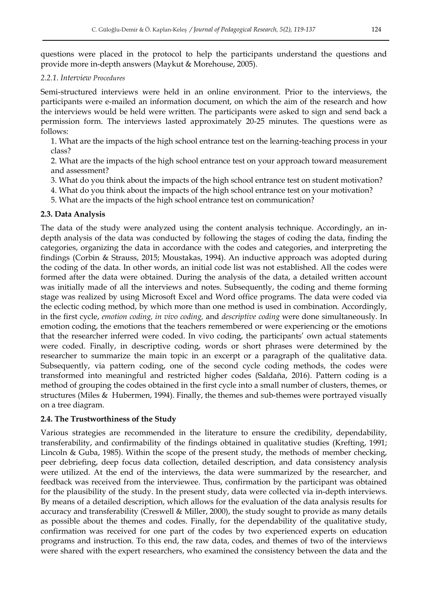questions were placed in the protocol to help the participants understand the questions and provide more in-depth answers (Maykut & Morehouse, 2005).

# *2.2.1. Interview Procedures*

Semi-structured interviews were held in an online environment. Prior to the interviews, the participants were e-mailed an information document, on which the aim of the research and how the interviews would be held were written. The participants were asked to sign and send back a permission form. The interviews lasted approximately 20-25 minutes. The questions were as follows:

1. What are the impacts of the high school entrance test on the learning-teaching process in your class?

2. What are the impacts of the high school entrance test on your approach toward measurement and assessment?

3. What do you think about the impacts of the high school entrance test on student motivation?

4. What do you think about the impacts of the high school entrance test on your motivation?

5. What are the impacts of the high school entrance test on communication?

# **2.3. Data Analysis**

The data of the study were analyzed using the content analysis technique. Accordingly, an indepth analysis of the data was conducted by following the stages of coding the data, finding the categories, organizing the data in accordance with the codes and categories, and interpreting the findings (Corbin & Strauss, 2015; Moustakas, 1994). An inductive approach was adopted during the coding of the data. In other words, an initial code list was not established. All the codes were formed after the data were obtained. During the analysis of the data, a detailed written account was initially made of all the interviews and notes. Subsequently, the coding and theme forming stage was realized by using Microsoft Excel and Word office programs. The data were coded via the eclectic coding method, by which more than one method is used in combination. Accordingly, in the first cycle, *emotion coding, in vivo coding,* and *descriptive coding* were done simultaneously*.* In emotion coding, the emotions that the teachers remembered or were experiencing or the emotions that the researcher inferred were coded. In vivo coding, the participants' own actual statements were coded. Finally, in descriptive coding, words or short phrases were determined by the researcher to summarize the main topic in an excerpt or a paragraph of the qualitative data. Subsequently, via pattern coding, one of the second cycle coding methods, the codes were transformed into meaningful and restricted higher codes (Saldaña, 2016). Pattern coding is a method of grouping the codes obtained in the first cycle into a small number of clusters, themes, or structures (Miles & Hubermen, 1994). Finally, the themes and sub-themes were portrayed visually on a tree diagram.

# **2.4. The Trustworthiness of the Study**

Various strategies are recommended in the literature to ensure the credibility, dependability, transferability, and confirmability of the findings obtained in qualitative studies (Krefting, 1991; Lincoln & Guba, 1985). Within the scope of the present study, the methods of member checking, peer debriefing, deep focus data collection, detailed description, and data consistency analysis were utilized. At the end of the interviews, the data were summarized by the researcher, and feedback was received from the interviewee. Thus, confirmation by the participant was obtained for the plausibility of the study. In the present study, data were collected via in-depth interviews. By means of a detailed description, which allows for the evaluation of the data analysis results for accuracy and transferability (Creswell & Miller, 2000), the study sought to provide as many details as possible about the themes and codes. Finally, for the dependability of the qualitative study, confirmation was received for one part of the codes by two experienced experts on education programs and instruction. To this end, the raw data, codes, and themes of two of the interviews were shared with the expert researchers, who examined the consistency between the data and the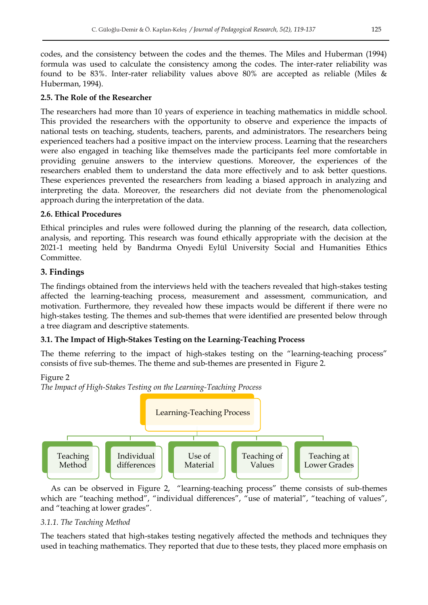codes, and the consistency between the codes and the themes. The Miles and Huberman (1994) formula was used to calculate the consistency among the codes. The inter-rater reliability was found to be 83%. Inter-rater reliability values above 80% are accepted as reliable (Miles & Huberman, 1994).

# **2.5. The Role of the Researcher**

The researchers had more than 10 years of experience in teaching mathematics in middle school. This provided the researchers with the opportunity to observe and experience the impacts of national tests on teaching, students, teachers, parents, and administrators. The researchers being experienced teachers had a positive impact on the interview process. Learning that the researchers were also engaged in teaching like themselves made the participants feel more comfortable in providing genuine answers to the interview questions. Moreover, the experiences of the researchers enabled them to understand the data more effectively and to ask better questions. These experiences prevented the researchers from leading a biased approach in analyzing and interpreting the data. Moreover, the researchers did not deviate from the phenomenological approach during the interpretation of the data.

# **2.6. Ethical Procedures**

Ethical principles and rules were followed during the planning of the research, data collection, analysis, and reporting. This research was found ethically appropriate with the decision at the 2021-1 meeting held by Bandırma Onyedi Eylül University Social and Humanities Ethics Committee.

# **3. Findings**

The findings obtained from the interviews held with the teachers revealed that high-stakes testing affected the learning-teaching process, measurement and assessment, communication, and motivation. Furthermore, they revealed how these impacts would be different if there were no high-stakes testing. The themes and sub-themes that were identified are presented below through a tree diagram and descriptive statements.

# **3.1. The Impact of High-Stakes Testing on the Learning-Teaching Process**

The theme referring to the impact of high-stakes testing on the "learning-teaching process" consists of five sub-themes. The theme and sub-themes are presented in Figure 2.

# Figure 2





As can be observed in Figure 2, "learning-teaching process" theme consists of sub-themes which are "teaching method", "individual differences", "use of material", "teaching of values", and "teaching at lower grades".

# *3.1.1. The Teaching Method*

The teachers stated that high-stakes testing negatively affected the methods and techniques they used in teaching mathematics. They reported that due to these tests, they placed more emphasis on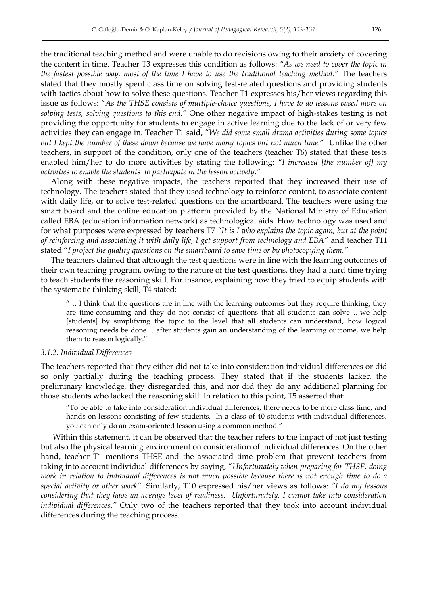the traditional teaching method and were unable to do revisions owing to their anxiety of covering the content in time. Teacher T3 expresses this condition as follows: *"As we need to cover the topic in the fastest possible way, most of the time I have to use the traditional teaching method."* The teachers stated that they mostly spent class time on solving test-related questions and providing students with tactics about how to solve these questions. Teacher T1 expresses his/her views regarding this issue as follows: "As the THSE consists of multiple-choice questions, I have to do lessons based more on *solving tests, solving questions to this end."* One other negative impact of high-stakes testing is not providing the opportunity for students to engage in active learning due to the lack of or very few activities they can engage in. Teacher T1 said, "We did some small drama activities during some topics *but I kept the number of these down because we have many topics but not much time.*‖ Unlike the other teachers, in support of the condition, only one of the teachers (teacher T6) stated that these tests enabled him/her to do more activities by stating the following: *"I increased [the number of] my activities to enable the students to participate in the lesson actively."*

Along with these negative impacts, the teachers reported that they increased their use of technology. The teachers stated that they used technology to reinforce content, to associate content with daily life, or to solve test-related questions on the smartboard. The teachers were using the smart board and the online education platform provided by the National Ministry of Education called EBA (education information network) as technological aids. How technology was used and for what purposes were expressed by teachers T7 *"It is I who explains the topic again, but at the point of reinforcing and associating it with daily life, I get support from technology and EBA"* and teacher T11 stated ―*I project the quality questions on the smartboard to save time or by photocopying them."*

The teachers claimed that although the test questions were in line with the learning outcomes of their own teaching program, owing to the nature of the test questions, they had a hard time trying to teach students the reasoning skill. For insance, explaining how they tried to equip students with the systematic thinking skill, T4 stated:

―… I think that the questions are in line with the learning outcomes but they require thinking, they are time-consuming and they do not consist of questions that all students can solve …we help [students] by simplifying the topic to the level that all students can understand, how logical reasoning needs be done… after students gain an understanding of the learning outcome, we help them to reason logically."

#### *3.1.2. Individual Differences*

The teachers reported that they either did not take into consideration individual differences or did so only partially during the teaching process. They stated that if the students lacked the preliminary knowledge, they disregarded this, and nor did they do any additional planning for those students who lacked the reasoning skill. In relation to this point, T5 asserted that:

―To be able to take into consideration individual differences, there needs to be more class time, and hands-on lessons consisting of few students. In a class of 40 students with individual differences, you can only do an exam-oriented lesson using a common method."

Within this statement, it can be observed that the teacher refers to the impact of not just testing but also the physical learning environment on consideration of individual differences. On the other hand, teacher T1 mentions THSE and the associated time problem that prevent teachers from taking into account individual differences by saying, "Unfortunately when preparing for THSE, doing *work in relation to individual differences is not much possible because there is not enough time to do a special activity or other work".* Similarly, T10 expressed his/her views as follows: *"I do my lessons considering that they have an average level of readiness. Unfortunately, I cannot take into consideration individual differences."* Only two of the teachers reported that they took into account individual differences during the teaching process.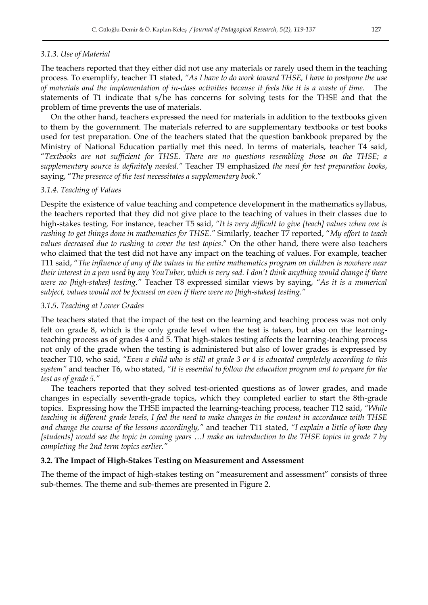#### *3.1.3. Use of Material*

The teachers reported that they either did not use any materials or rarely used them in the teaching process. To exemplify, teacher T1 stated, *"As I have to do work toward THSE, I have to postpone the use of materials and the implementation of in-class activities because it feels like it is a waste of time.* The statements of T1 indicate that s/he has concerns for solving tests for the THSE and that the problem of time prevents the use of materials.

On the other hand, teachers expressed the need for materials in addition to the textbooks given to them by the government. The materials referred to are supplementary textbooks or test books used for test preparation. One of the teachers stated that the question bankbook prepared by the Ministry of National Education partially met this need. In terms of materials, teacher T4 said, ―*Textbooks are not sufficient for THSE. There are no questions resembling those on the THSE; a supplementary source is definitely needed."* Teacher T9 emphasized *the need for test preparation books*, saying, "The presence of the test necessitates a supplementary book."

## *3.1.4. Teaching of Values*

Despite the existence of value teaching and competence development in the mathematics syllabus, the teachers reported that they did not give place to the teaching of values in their classes due to high-stakes testing. For instance, teacher T5 said, *"It is very difficult to give [teach] values when one is rushing to get things done in mathematics for THSE."* Similarly, teacher T7 reported, "My effort to teach *values decreased due to rushing to cover the test topics.*" On the other hand, there were also teachers who claimed that the test did not have any impact on the teaching of values. For example, teacher T11 said, ―*The influence of any of the values in the entire mathematics program on children is nowhere near their interest in a pen used by any YouTuber, which is very sad. I don't think anything would change if there were no [high-stakes] testing."* Teacher T8 expressed similar views by saying, *"As it is a numerical subject, values would not be focused on even if there were no [high-stakes] testing."*

#### *3.1.5. Teaching at Lower Grades*

The teachers stated that the impact of the test on the learning and teaching process was not only felt on grade 8, which is the only grade level when the test is taken, but also on the learningteaching process as of grades 4 and 5. That high-stakes testing affects the learning-teaching process not only of the grade when the testing is administered but also of lower grades is expressed by teacher T10, who said, *"Even a child who is still at grade 3 or 4 is educated completely according to this system"* and teacher T6, who stated, *"It is essential to follow the education program and to prepare for the test as of grade 5."* 

The teachers reported that they solved test-oriented questions as of lower grades, and made changes in especially seventh-grade topics, which they completed earlier to start the 8th-grade topics. Expressing how the THSE impacted the learning-teaching process, teacher T12 said, *"While teaching in different grade levels, I feel the need to make changes in the content in accordance with THSE and change the course of the lessons accordingly,"* and teacher T11 stated, *"I explain a little of how they [students] would see the topic in coming years …I make an introduction to the THSE topics in grade 7 by completing the 2nd term topics earlier."* 

#### **3.2. The Impact of High-Stakes Testing on Measurement and Assessment**

The theme of the impact of high-stakes testing on "measurement and assessment" consists of three sub-themes. The theme and sub-themes are presented in Figure 2.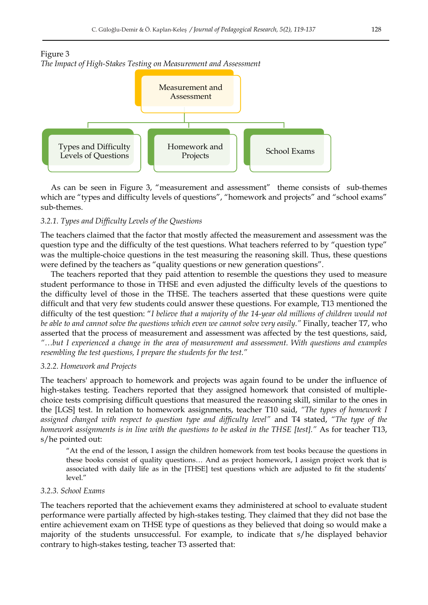





As can be seen in Figure 3, "measurement and assessment" theme consists of sub-themes which are "types and difficulty levels of questions", "homework and projects" and "school exams" sub-themes.

#### *3.2.1. Types and Difficulty Levels of the Questions*

The teachers claimed that the factor that mostly affected the measurement and assessment was the question type and the difficulty of the test questions. What teachers referred to by "question type" was the multiple-choice questions in the test measuring the reasoning skill. Thus, these questions were defined by the teachers as "quality questions or new generation questions".

The teachers reported that they paid attention to resemble the questions they used to measure student performance to those in THSE and even adjusted the difficulty levels of the questions to the difficulty level of those in the THSE. The teachers asserted that these questions were quite difficult and that very few students could answer these questions. For example, T13 mentioned the difficulty of the test question: "I believe that a majority of the 14-year old millions of children would not *be able to and cannot solve the questions which even we cannot solve very easily."* Finally, teacher T7, who asserted that the process of measurement and assessment was affected by the test questions, said, *"…but I experienced a change in the area of measurement and assessment. With questions and examples resembling the test questions, I prepare the students for the test."*

## *3.2.2. Homework and Projects*

The teachers' approach to homework and projects was again found to be under the influence of high-stakes testing. Teachers reported that they assigned homework that consisted of multiplechoice tests comprising difficult questions that measured the reasoning skill, similar to the ones in the [LGS] test. In relation to homework assignments, teacher T10 said, *"The types of homework I assigned changed with respect to question type and difficulty level"* and T4 stated, *"The type of the homework assignments is in line with the questions to be asked in the THSE [test]."* As for teacher T13, s/he pointed out:

―At the end of the lesson, I assign the children homework from test books because the questions in these books consist of quality questions… And as project homework, I assign project work that is associated with daily life as in the [THSE] test questions which are adjusted to fit the students' level."

## *3.2.3. School Exams*

The teachers reported that the achievement exams they administered at school to evaluate student performance were partially affected by high-stakes testing. They claimed that they did not base the entire achievement exam on THSE type of questions as they believed that doing so would make a majority of the students unsuccessful. For example, to indicate that s/he displayed behavior contrary to high-stakes testing, teacher T3 asserted that: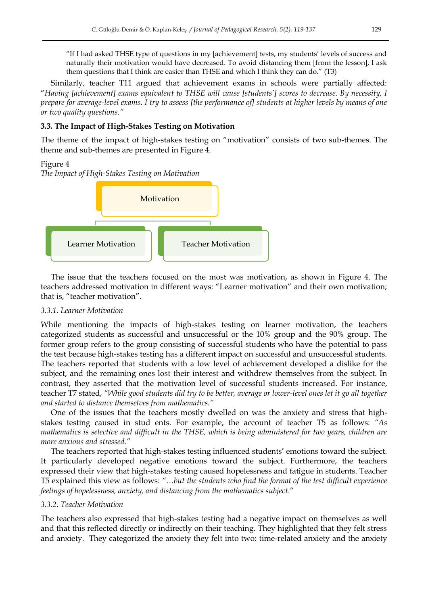―If I had asked THSE type of questions in my [achievement] tests, my students' levels of success and naturally their motivation would have decreased. To avoid distancing them [from the lesson], I ask them questions that I think are easier than THSE and which I think they can do.<sup> $\prime$ </sup> (T3)

Similarly, teacher T11 argued that achievement exams in schools were partially affected: ―*Having [achievement] exams equivalent to THSE will cause [students'] scores to decrease. By necessity, I prepare for average-level exams. I try to assess [the performance of] students at higher levels by means of one or two quality questions."*

## **3.3. The Impact of High-Stakes Testing on Motivation**

The theme of the impact of high-stakes testing on "motivation" consists of two sub-themes. The theme and sub-themes are presented in Figure 4.

#### Figure 4

*The Impact of High-Stakes Testing on Motivation* 



The issue that the teachers focused on the most was motivation, as shown in Figure 4. The teachers addressed motivation in different ways: "Learner motivation" and their own motivation; that is, "teacher motivation".

#### *3.3.1. Learner Motivation*

While mentioning the impacts of high-stakes testing on learner motivation, the teachers categorized students as successful and unsuccessful or the 10% group and the 90% group. The former group refers to the group consisting of successful students who have the potential to pass the test because high-stakes testing has a different impact on successful and unsuccessful students. The teachers reported that students with a low level of achievement developed a dislike for the subject, and the remaining ones lost their interest and withdrew themselves from the subject. In contrast, they asserted that the motivation level of successful students increased. For instance, teacher T7 stated, *"While good students did try to be better, average or lower-level ones let it go all together and started to distance themselves from mathematics."* 

One of the issues that the teachers mostly dwelled on was the anxiety and stress that highstakes testing caused in stud ents. For example, the account of teacher T5 as follows: *"As mathematics is selective and difficult in the THSE, which is being administered for two years, children are more anxious and stressed."* 

The teachers reported that high-stakes testing influenced students' emotions toward the subject. It particularly developed negative emotions toward the subject. Furthermore, the teachers expressed their view that high-stakes testing caused hopelessness and fatigue in students. Teacher T5 explained this view as follows: *"…but the students who find the format of the test difficult experience feelings of hopelessness, anxiety, and distancing from the mathematics subject.*<sup>*"*</sup>

#### *3.3.2. Teacher Motivation*

The teachers also expressed that high-stakes testing had a negative impact on themselves as well and that this reflected directly or indirectly on their teaching. They highlighted that they felt stress and anxiety. They categorized the anxiety they felt into two: time-related anxiety and the anxiety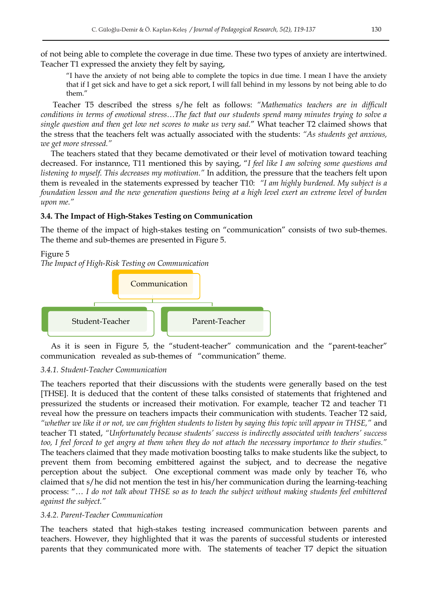of not being able to complete the coverage in due time. These two types of anxiety are intertwined. Teacher T1 expressed the anxiety they felt by saying,

―I have the anxiety of not being able to complete the topics in due time. I mean I have the anxiety that if I get sick and have to get a sick report, I will fall behind in my lessons by not being able to do them."

Teacher T5 described the stress s/he felt as follows: *"Mathematics teachers are in difficult conditions in terms of emotional stress…The fact that our students spend many minutes trying to solve a single question and then get low net scores to make us very sad.*‖ What teacher T2 claimed shows that the stress that the teachers felt was actually associated with the students: *"As students get anxious, we get more stressed."*

The teachers stated that they became demotivated or their level of motivation toward teaching decreased. For instannce, T11 mentioned this by saying, "I feel like I am solving some questions and *listening to myself. This decreases my motivation."* In addition, the pressure that the teachers felt upon them is revealed in the statements expressed by teacher T10: *"I am highly burdened. My subject is a foundation lesson and the new generation questions being at a high level exert an extreme level of burden upon me."*

## **3.4. The Impact of High-Stakes Testing on Communication**

The theme of the impact of high-stakes testing on "communication" consists of two sub-themes. The theme and sub-themes are presented in Figure 5.

#### Figure 5

*The Impact of High-Risk Testing on Communication* 



As it is seen in Figure 5, the "student-teacher" communication and the "parent-teacher" communication revealed as sub-themes of "communication" theme.

## *3.4.1. Student-Teacher Communication*

The teachers reported that their discussions with the students were generally based on the test [THSE]. It is deduced that the content of these talks consisted of statements that frightened and pressurized the students or increased their motivation. For example, teacher T2 and teacher T1 reveal how the pressure on teachers impacts their communication with students. Teacher T2 said, *"whether we like it or not, we can frighten students to listen by saying this topic will appear in THSE,"* and teacher T1 stated, *"Unfortunately because students' success is indirectly associated with teachers' success too, I feel forced to get angry at them when they do not attach the necessary importance to their studies."*  The teachers claimed that they made motivation boosting talks to make students like the subject, to prevent them from becoming embittered against the subject, and to decrease the negative perception about the subject. One exceptional comment was made only by teacher T6, who claimed that s/he did not mention the test in his/her communication during the learning-teaching process: "... I do not talk about THSE so as to teach the subject without making students feel embittered *against the subject."*

#### *3.4.2. Parent-Teacher Communication*

The teachers stated that high-stakes testing increased communication between parents and teachers. However, they highlighted that it was the parents of successful students or interested parents that they communicated more with. The statements of teacher T7 depict the situation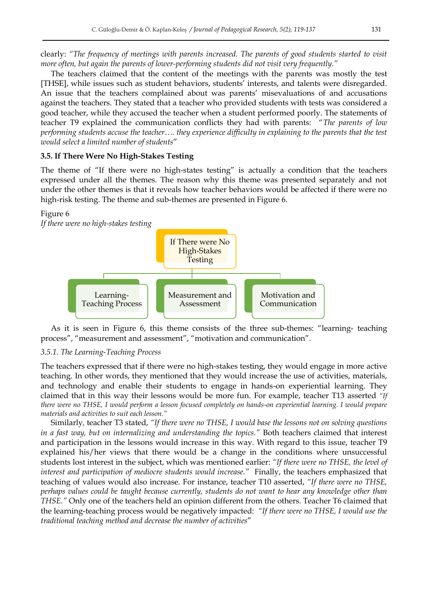clearly: *"The frequency of meetings with parents increased. The parents of good students started to visit more often, but again the parents of lower-performing students did not visit very frequently."* 

The teachers claimed that the content of the meetings with the parents was mostly the test [THSE], while issues such as student behaviors, students' interests, and talents were disregarded. An issue that the teachers complained about was parents' misevaluations of and accusations against the teachers. They stated that a teacher who provided students with tests was considered a good teacher, while they accused the teacher when a student performed poorly. The statements of teacher T9 explained the communication conflicts they had with parents: ―*The parents of low performing students accuse the teacher…. they experience difficulty in explaining to the parents that the test would select a limited number of students*‖

#### **3.5. If There Were No High-Stakes Testing**

The theme of "If there were no high-states testing" is actually a condition that the teachers expressed under all the themes. The reason why this theme was presented separately and not under the other themes is that it reveals how teacher behaviors would be affected if there were no high-risk testing. The theme and sub-themes are presented in Figure 6.

#### Figure 6



As it is seen in Figure 6, this theme consists of the three sub-themes: "learning- teaching process", "measurement and assessment", "motivation and communication".

#### *3.5.1. The Learning-Teaching Process*

The teachers expressed that if there were no high-stakes testing, they would engage in more active teaching. In other words, they mentioned that they would increase the use of activities, materials, and technology and enable their students to engage in hands-on experiential learning. They claimed that in this way their lessons would be more fun. For example, teacher T13 asserted *"If there were no THSE, I would perform a lesson focused completely on hands-on experiential learning. I would prepare materials and activities to suit each lesson."*

Similarly*,* teacher T3 stated, *"If there were no THSE, I would base the lessons not on solving questions in a fast way, but on internalizing and understanding the topics."* Both teachers claimed that interest and participation in the lessons would increase in this way. With regard to this issue, teacher T9 explained his/her views that there would be a change in the conditions where unsuccessful students lost interest in the subject, which was mentioned earlier: *"If there were no THSE, the level of interest and participation of mediocre students would increase."* Finally, the teachers emphasized that teaching of values would also increase. For instance, teacher T10 asserted, *"If there were no THSE, perhaps values could be taught because currently, students do not want to hear any knowledge other than THSE."* Only one of the teachers held an opinion different from the others. Teacher T6 claimed that the learning-teaching process would be negatively impacted: *"If there were no THSE, I would use the traditional teaching method and decrease the number of activities*‖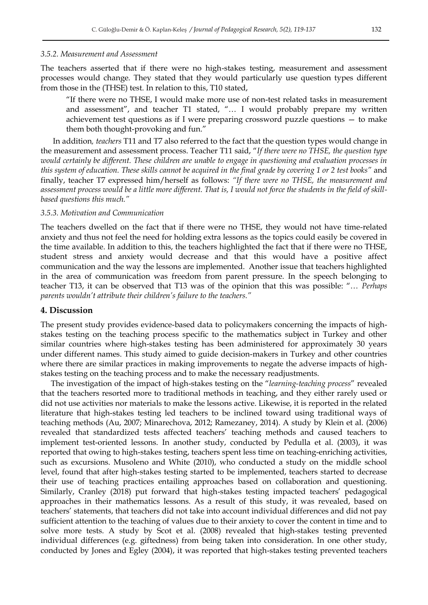#### *3.5.2. Measurement and Assessment*

The teachers asserted that if there were no high-stakes testing, measurement and assessment processes would change. They stated that they would particularly use question types different from those in the (THSE) test. In relation to this, T10 stated,

"If there were no THSE, I would make more use of non-test related tasks in measurement and assessment", and teacher T1 stated, "... I would probably prepare my written achievement test questions as if I were preparing crossword puzzle questions — to make them both thought-provoking and fun."

In addition*, teachers* T11 and T7 also referred to the fact that the question types would change in the measurement and assessment process. Teacher T11 said, "If there were no THSE, the question type *would certainly be different. These children are unable to engage in questioning and evaluation processes in this system of education. These skills cannot be acquired in the final grade by covering 1 or 2 test books"* and finally, teacher T7 expressed him/herself as follows: *"If there were no THSE, the measurement and assessment process would be a little more different. That is, I would not force the students in the field of skillbased questions this much."*

#### *3.5.3. Motivation and Communication*

The teachers dwelled on the fact that if there were no THSE, they would not have time-related anxiety and thus not feel the need for holding extra lessons as the topics could easily be covered in the time available. In addition to this, the teachers highlighted the fact that if there were no THSE, student stress and anxiety would decrease and that this would have a positive affect communication and the way the lessons are implemented. Another issue that teachers highlighted in the area of communication was freedom from parent pressure. In the speech belonging to teacher T13, it can be observed that T13 was of the opinion that this was possible: "... *Perhaps parents wouldn't attribute their children's failure to the teachers."*

## **4. Discussion**

The present study provides evidence-based data to policymakers concerning the impacts of highstakes testing on the teaching process specific to the mathematics subject in Turkey and other similar countries where high-stakes testing has been administered for approximately 30 years under different names. This study aimed to guide decision-makers in Turkey and other countries where there are similar practices in making improvements to negate the adverse impacts of highstakes testing on the teaching process and to make the necessary readjustments.

The investigation of the impact of high-stakes testing on the "*learning-teaching process*" revealed that the teachers resorted more to traditional methods in teaching, and they either rarely used or did not use activities nor materials to make the lessons active. Likewise, it is reported in the related literature that high-stakes testing led teachers to be inclined toward using traditional ways of teaching methods (Au, 2007; Minarechova, 2012; Ramezaney, 2014). A study by Klein et al. (2006) revealed that standardized tests affected teachers' teaching methods and caused teachers to implement test-oriented lessons. In another study, conducted by Pedulla et al. (2003), it was reported that owing to high-stakes testing, teachers spent less time on teaching-enriching activities, such as excursions. Musoleno and White (2010), who conducted a study on the middle school level, found that after high-stakes testing started to be implemented, teachers started to decrease their use of teaching practices entailing approaches based on collaboration and questioning. Similarly, Cranley (2018) put forward that high-stakes testing impacted teachers' pedagogical approaches in their mathematics lessons. As a result of this study, it was revealed, based on teachers' statements, that teachers did not take into account individual differences and did not pay sufficient attention to the teaching of values due to their anxiety to cover the content in time and to solve more tests. A study by Scot et al. (2008) revealed that high-stakes testing prevented individual differences (e.g. giftedness) from being taken into consideration. In one other study, conducted by Jones and Egley (2004), it was reported that high-stakes testing prevented teachers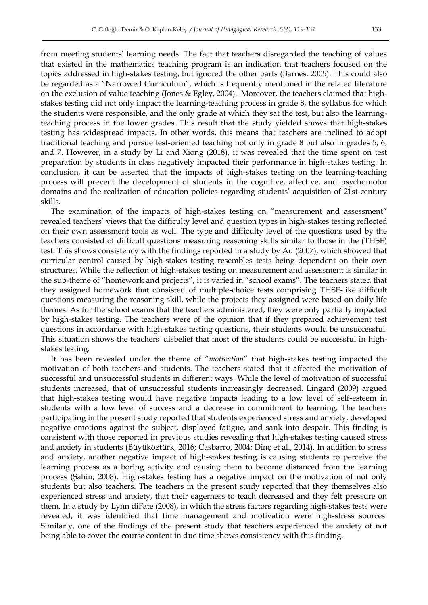from meeting students' learning needs. The fact that teachers disregarded the teaching of values that existed in the mathematics teaching program is an indication that teachers focused on the topics addressed in high-stakes testing, but ignored the other parts (Barnes, 2005). This could also be regarded as a "Narrowed Curriculum", which is frequently mentioned in the related literature on the exclusion of value teaching (Jones & Egley, 2004). Moreover, the teachers claimed that highstakes testing did not only impact the learning-teaching process in grade 8, the syllabus for which the students were responsible, and the only grade at which they sat the test, but also the learningteaching process in the lower grades. This result that the study yielded shows that high-stakes testing has widespread impacts. In other words, this means that teachers are inclined to adopt traditional teaching and pursue test-oriented teaching not only in grade 8 but also in grades 5, 6, and 7. However, in a study by Li and Xiong (2018), it was revealed that the time spent on test preparation by students in class negatively impacted their performance in high-stakes testing. In conclusion, it can be asserted that the impacts of high-stakes testing on the learning-teaching process will prevent the development of students in the cognitive, affective, and psychomotor domains and the realization of education policies regarding students' acquisition of 21st-century skills.

The examination of the impacts of high-stakes testing on "measurement and assessment" revealed teachers' views that the difficulty level and question types in high-stakes testing reflected on their own assessment tools as well. The type and difficulty level of the questions used by the teachers consisted of difficult questions measuring reasoning skills similar to those in the (THSE) test. This shows consistency with the findings reported in a study by Au (2007), which showed that curricular control caused by high-stakes testing resembles tests being dependent on their own structures. While the reflection of high-stakes testing on measurement and assessment is similar in the sub-theme of "homework and projects", it is varied in "school exams". The teachers stated that they assigned homework that consisted of multiple-choice tests comprising THSE-like difficult questions measuring the reasoning skill, while the projects they assigned were based on daily life themes. As for the school exams that the teachers administered, they were only partially impacted by high-stakes testing. The teachers were of the opinion that if they prepared achievement test questions in accordance with high-stakes testing questions, their students would be unsuccessful. This situation shows the teachers' disbelief that most of the students could be successful in highstakes testing.

It has been revealed under the theme of "motivation" that high-stakes testing impacted the motivation of both teachers and students. The teachers stated that it affected the motivation of successful and unsuccessful students in different ways. While the level of motivation of successful students increased, that of unsuccessful students increasingly decreased. Lingard (2009) argued that high-stakes testing would have negative impacts leading to a low level of self-esteem in students with a low level of success and a decrease in commitment to learning. The teachers participating in the present study reported that students experienced stress and anxiety, developed negative emotions against the subject, displayed fatigue, and sank into despair. This finding is consistent with those reported in previous studies revealing that high-stakes testing caused stress and anxiety in students (Büyüköztürk, 2016; Casbarro, 2004; Dinç et al., 2014). In addition to stress and anxiety, another negative impact of high-stakes testing is causing students to perceive the learning process as a boring activity and causing them to become distanced from the learning process (Şahin, 2008). High-stakes testing has a negative impact on the motivation of not only students but also teachers. The teachers in the present study reported that they themselves also experienced stress and anxiety, that their eagerness to teach decreased and they felt pressure on them. In a study by Lynn diFate (2008), in which the stress factors regarding high-stakes tests were revealed, it was identified that time management and motivation were high-stress sources. Similarly, one of the findings of the present study that teachers experienced the anxiety of not being able to cover the course content in due time shows consistency with this finding.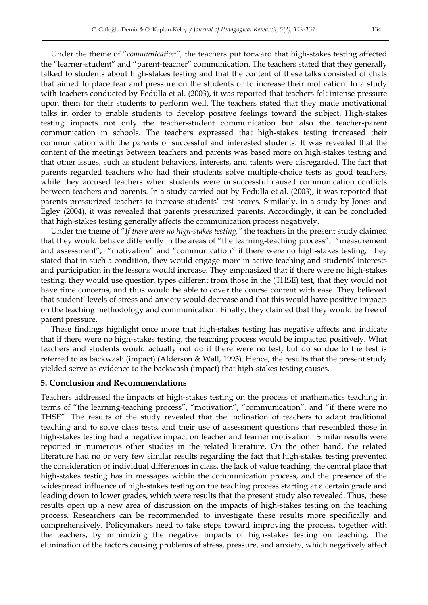Under the theme of "*communication*", the teachers put forward that high-stakes testing affected the "learner-student" and "parent-teacher" communication. The teachers stated that they generally talked to students about high-stakes testing and that the content of these talks consisted of chats that aimed to place fear and pressure on the students or to increase their motivation. In a study with teachers conducted by Pedulla et al. (2003), it was reported that teachers felt intense pressure upon them for their students to perform well. The teachers stated that they made motivational talks in order to enable students to develop positive feelings toward the subject. High-stakes testing impacts not only the teacher-student communication but also the teacher-parent communication in schools. The teachers expressed that high-stakes testing increased their communication with the parents of successful and interested students. It was revealed that the content of the meetings between teachers and parents was based more on high-stakes testing and that other issues, such as student behaviors, interests, and talents were disregarded. The fact that parents regarded teachers who had their students solve multiple-choice tests as good teachers, while they accused teachers when students were unsuccessful caused communication conflicts between teachers and parents. In a study carried out by Pedulla et al. (2003), it was reported that parents pressurized teachers to increase students' test scores. Similarly, in a study by Jones and Egley (2004), it was revealed that parents pressurized parents. Accordingly, it can be concluded that high-stakes testing generally affects the communication process negatively.

Under the theme of "If there were no high-stakes testing," the teachers in the present study claimed that they would behave differently in the areas of "the learning-teaching process", "measurement and assessment", "motivation" and "communication" if there were no high-stakes testing. They stated that in such a condition, they would engage more in active teaching and students' interests and participation in the lessons would increase. They emphasized that if there were no high-stakes testing, they would use question types different from those in the (THSE) test, that they would not have time concerns, and thus would be able to cover the course content with ease. They believed that student' levels of stress and anxiety would decrease and that this would have positive impacts on the teaching methodology and communication. Finally, they claimed that they would be free of parent pressure.

These findings highlight once more that high-stakes testing has negative affects and indicate that if there were no high-stakes testing, the teaching process would be impacted positively. What teachers and students would actually not do if there were no test, but do so due to the test is referred to as backwash (impact) (Alderson & Wall, 1993). Hence, the results that the present study yielded serve as evidence to the backwash (impact) that high-stakes testing causes.

## **5. Conclusion and Recommendations**

Teachers addressed the impacts of high-stakes testing on the process of mathematics teaching in terms of "the learning-teaching process", "motivation", "communication", and "if there were no THSE". The results of the study revealed that the inclination of teachers to adapt traditional teaching and to solve class tests, and their use of assessment questions that resembled those in high-stakes testing had a negative impact on teacher and learner motivation. Similar results were reported in numerous other studies in the related literature. On the other hand, the related literature had no or very few similar results regarding the fact that high-stakes testing prevented the consideration of individual differences in class, the lack of value teaching, the central place that high-stakes testing has in messages within the communication process, and the presence of the widespread influence of high-stakes testing on the teaching process starting at a certain grade and leading down to lower grades, which were results that the present study also revealed. Thus, these results open up a new area of discussion on the impacts of high-stakes testing on the teaching process. Researchers can be recommended to investigate these results more specifically and comprehensively. Policymakers need to take steps toward improving the process, together with the teachers, by minimizing the negative impacts of high-stakes testing on teaching. The elimination of the factors causing problems of stress, pressure, and anxiety, which negatively affect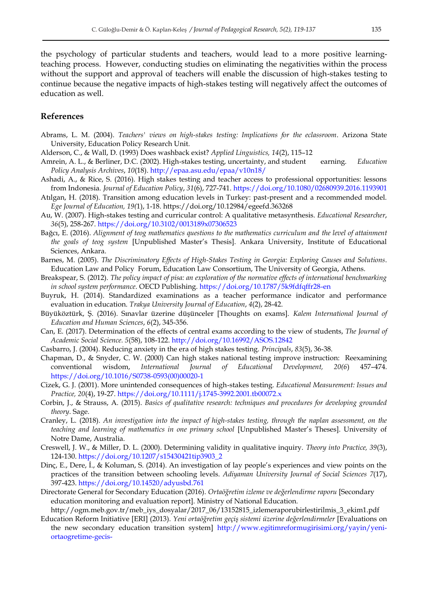the psychology of particular students and teachers, would lead to a more positive learningteaching process. However, conducting studies on eliminating the negativities within the process without the support and approval of teachers will enable the discussion of high-stakes testing to continue because the negative impacts of high-stakes testing will negatively affect the outcomes of education as well.

#### **References**

- Abrams, L. M. (2004). *Teachers' views on high-stakes testing: Implications for the eclassroom*. Arizona State University, Education Policy Research Unit.
- Alderson, C., & Wall, D. (1993) Does washback exist? *Applied Linguistics, 14*(2), 115–12
- Amrein, A. L., & Berliner, D.C. (2002). High-stakes testing, uncertainty, and student earning. *Education Policy Analysis Archives*, *10*(18).<http://epaa.asu.edu/epaa/v10n18/>
- Ashadi, A., & Rice, S. (2016). High stakes testing and teacher access to professional opportunities: lessons from Indonesia. *Journal of Education Policy*, *31*(6), 727-741[. https://doi.org/10.1080/02680939.2016.1193901](https://doi.org/10.1080/02680939.2016.1193901)
- Atılgan, H. (2018). Transition among education levels in Turkey: past-present and a recommended model. *Ege Journal of Education, 19(*1), 1-18. https://doi.org/10.12984/egeefd.363268
- Au, W. (2007). High-stakes testing and curricular control: A qualitative metasynthesis. *Educational Researcher*, *36*(5), 258-267.<https://doi.org/10.3102/0013189x07306523>
- Bağcı, E. (2016). *Alignment of teog mathematics questions to the mathematics curriculum and the level of attainment the goals of teog system* [Unpublished Master's Thesis]. Ankara University, Institute of Educational Sciences, Ankara.
- Barnes, M. (2005). *The Discriminatory Effects of High-Stakes Testing in Georgia: Exploring Causes and Solutions*. Education Law and Policy Forum, Education Law Consortium, The University of Georgia, Athens.
- Breakspear, S. (2012). *The policy impact of pisa: an exploration of the normative effects of international benchmarking in school system performance*. OECD Publishing.<https://doi.org/10.1787/5k9fdfqffr28-en>
- Buyruk, H. (2014). Standardized examinations as a teacher performance indicator and performance evaluation in education. *Trakya University Journal of Education*, *4*(2), 28-42.
- Büyüköztürk, Ş. (2016). Sınavlar üzerine düşünceler [Thoughts on exams]. *Kalem International Journal of Education and Human Sciences*, *6*(2), 345-356.
- Can, E. (2017). Determination of the effects of central exams according to the view of students, *The Journal of Academic Social Science. 5*(58), 108-122. http://doi.org/10.16992/ASOS.12842
- Casbarro, J. (2004). Reducing anxiety in the era of high stakes testing. *Principals*, *83*(5), 36-38.
- Chapman, D., & Snyder, C. W. (2000) Can high stakes national testing improve instruction: Reexamining conventional wisdom, *International Journal of Educational Development, 20(6*) 457–474. [https://doi.org/10.1016/S0738-0593\(00\)00020-1](https://doi.org/10.1016/S0738-0593(00)00020-1)
- Cizek, G. J. (2001). More unintended consequences of high-stakes testing. *Educational Measurement: Issues and Practice, 20*(4), 19-27[. https://doi.org/10.1111/j.1745-3992.2001.tb00072.x](https://doi.org/10.1111/j.1745-3992.2001.tb00072.x)
- Corbin, J., & Strauss, A. (2015). *Basics of qualitative research: techniques and procedures for developing grounded theory*. Sage.
- Cranley, L. (2018). *An investigation into the impact of high-stakes testing, through the naplan assessment, on the teaching and learning of mathematics in one primary school* [Unpublished Master's Theses]. University of Notre Dame, Australia.
- Creswell, J. W., & Miller, D. L. (2000). Determining validity in qualitative inquiry. *Theory into Practice, 39*(3), 124-130. [https://doi.org/10.1207/s15430421tip3903\\_2](https://doi.org/10.1207/s15430421tip3903_2)
- Dinç, E., Dere, İ., & Koluman, S. (2014). An investigation of lay people's experiences and view points on the practices of the transition between schooling levels. *Adiyaman University Journal of Social Sciences 7*(17), 397-423.<https://doi.org/10.14520/adyusbd.761>
- Directorate General for Secondary Education (2016). *Ortaöğretim izleme ve değerlendirme raporu* [Secondary education monitoring and evaluation report]. Ministry of National Education.

http://ogm.meb.gov.tr/meb\_iys\_dosyalar/2017\_06/13152815\_izlemeraporubirlestirilmis\_3\_ekim1.pdf

Education Reform Initiative [ERI] (2013). *Yeni ortaöğretim geçiş sistemi üzerine değerlendirmeler* [Evaluations on the new secondary education transition system] [http://www.egitimreformugirisimi.org/yayin/yeni](http://www.egitimreformugirisimi.org/yayin/yeni-ortaogretime-gecis-)[ortaogretime-gecis-](http://www.egitimreformugirisimi.org/yayin/yeni-ortaogretime-gecis-)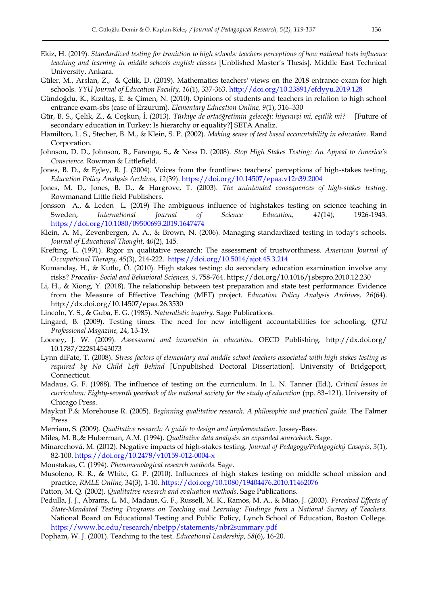- Ekiz, H. (2019). *Standardized testing for traniıtion to high schools: teachers perceptions of how national tests influence teaching and learning in middle schools english classes* [Unblished Master's Thesis]. Middle East Technical University, Ankara.
- Güler, M., Arslan, Z., & Çelik, D. (2019). Mathematics teachers' views on the 2018 entrance exam for high schools. *YYU Journal of Education Faculty, 16*(1), 337-363.<http://doi.org/10.23891/efdyyu.2019.128>
- Gündoğdu, K., Kızıltaş, E. & Çimen, N. (2010). Opinions of students and teachers in relation to high school entrance exam-sbs (case of Erzurum). *Elementary Education Online, 9*(1), 316–330
- Gür, B. S., Çelik, Z., & Coşkun, İ. (2013). *Türkiye'de ortaöğretimin geleceği: hiyerarşi mi, eşitlik mi?* [Future of secondary education in Turkey: Is hierarchy or equality?] SETA Analiz.
- Hamilton, L. S., Stecher, B. M., & Klein, S. P. (2002). *Making sense of test based accountability in education*. Rand Corporation.
- Johnson, D. D., Johnson, B., Farenga, S., & Ness D. (2008). *Stop High Stakes Testing: An Appeal to America's Conscience*. Rowman & Littlefield.
- Jones, B. D., & Egley, R. J. (2004). Voices from the frontlines: teachers' perceptions of high-stakes testing, *Education Policy Analysis Archives, 12*(39).<https://doi.org/10.14507/epaa.v12n39.2004>
- Jones, M. D., Jones, B. D., & Hargrove, T. (2003). *The unintended consequences of high-stakes testing*. Rowmanand Little field Publishers.
- Jonsson A., & Leden L. (2019) The ambiguous influence of highstakes testing on science teaching in Sweden, *International Journal of Science Education, 41*(14), 1926-1943. <https://doi.org/10.1080/09500693.2019.1647474>
- Klein, A. M., Zevenbergen, A. A., & Brown, N. (2006). Managing standardized testing in today's schools. *Journal of Educational Thought*, 4*0*(2), 145.
- Krefting, L. (1991). Rigor in qualitative research: The assessment of trustworthiness. *American Journal of Occupational Therapy, 45*(3), 214-222. <https://doi.org/10.5014/ajot.45.3.214>
- Kumandaş, H., & Kutlu, Ö. (2010). High stakes testing: do secondary education examination involve any risks? *Procedia- Social and Behavioral Sciences, 9*, 758-764. https://doi.org/10.1016/j.sbspro.2010.12.230
- Li, H., & Xiong, Y. (2018). The relationship between test preparation and state test performance: Evidence from the Measure of Effective Teaching (MET) project. *Education Policy Analysis Archives, 26*(64). http://dx.doi.org/10.14507/epaa.26.3530
- Lincoln, Y. S., & Guba, E. G. (1985). *Naturalistic inquiry*. Sage Publications.
- Lingard, B. (2009). Testing times: The need for new intelligent accountabilities for schooling. *QTU Professional Magazine, 2*4, 13-19.
- Looney, J. W. (2009). *Assessment and innovation in education*. OECD Publishing. http://dx.doi.org/ 10.1787/222814543073
- Lynn diFate, T. (2008). *Stress factors of elementary and middle school teachers associated with high stakes testing as required by No Child Left Behind* [Unpublished Doctoral Dissertation]. University of Bridgeport, Connecticut.
- Madaus, G. F. (1988). The influence of testing on the curriculum. In L. N. Tanner (Ed.), *Critical issues in curriculum: Eighty-seventh yearbook of the national society for the study of education* (pp. 83–121). University of Chicago Press.
- Maykut P.& Morehouse R. (2005). *Beginning qualitative research. A philosophic and practical guide.* The Falmer Press
- Merriam, S. (2009). *Qualitative research: A guide to design and implementation*. Jossey-Bass.
- Miles, M. B.,& Huberman, A.M. (1994). *Qualitative data analysis: an expanded sourcebook.* Sage.
- Minarechová, M. (2012). Negative impacts of high-stakes testing. *Journal of Pedagogy/Pedagogický Casopis*, *3*(1), 82-100.<https://doi.org/10.2478/v10159-012-0004-x>
- Moustakas, C. (1994). *Phenomenological research methods.* Sage.
- Musoleno, R. R., & White, G. P. (2010). Influences of high stakes testing on middle school mission and practice, *RMLE Online,* 34(3), 1-10.<https://doi.org/10.1080/19404476.2010.11462076>
- Patton, M. Q. (2002). *Qualitative research and evaluation methods*. Sage Publications.
- Pedulla, J. J., Abrams, L. M., Madaus, G. F., Russell, M. K., Ramos, M. A., & Miao, J. (2003). *Perceived Effects of State-Mandated Testing Programs on Teaching and Learning: Findings from a National Survey of Teachers*. National Board on Educational Testing and Public Policy, Lynch School of Education, Boston College. <https://www.bc.edu/research/nbetpp/statements/nbr2summary.pdf>
- Popham, W. J. (2001). Teaching to the test. *Educational Leadership*, *58*(6), 16-20.